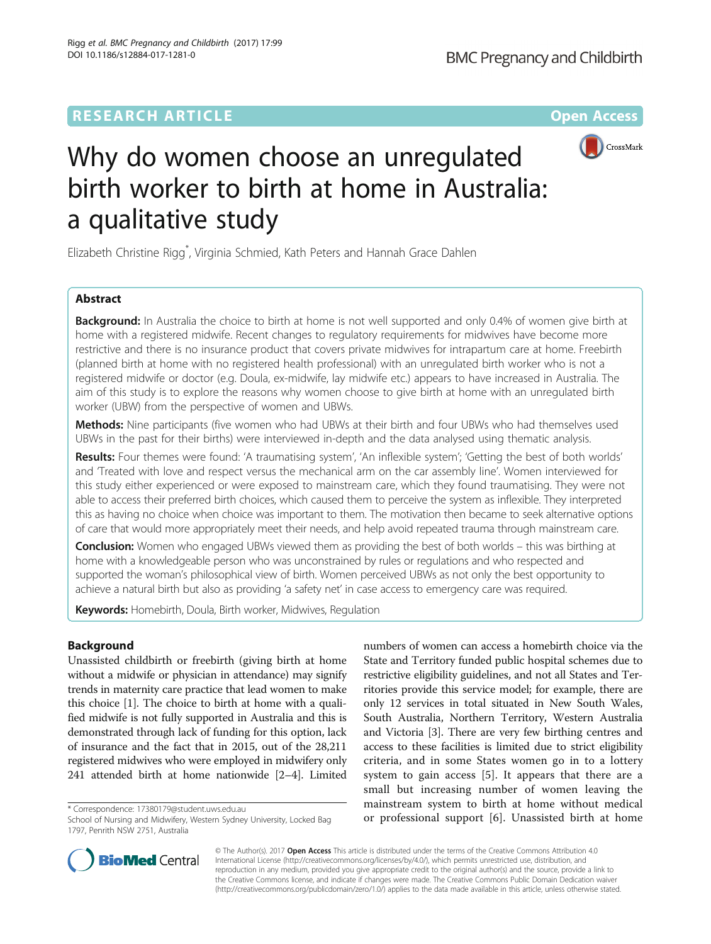# **RESEARCH ARTICLE Example 2014 12:30 The Contract of Contract ACCESS**



# Why do women choose an unregulated birth worker to birth at home in Australia: a qualitative study

Elizabeth Christine Rigg\* , Virginia Schmied, Kath Peters and Hannah Grace Dahlen

# Abstract

**Background:** In Australia the choice to birth at home is not well supported and only 0.4% of women give birth at home with a registered midwife. Recent changes to regulatory requirements for midwives have become more restrictive and there is no insurance product that covers private midwives for intrapartum care at home. Freebirth (planned birth at home with no registered health professional) with an unregulated birth worker who is not a registered midwife or doctor (e.g. Doula, ex-midwife, lay midwife etc.) appears to have increased in Australia. The aim of this study is to explore the reasons why women choose to give birth at home with an unregulated birth worker (UBW) from the perspective of women and UBWs.

Methods: Nine participants (five women who had UBWs at their birth and four UBWs who had themselves used UBWs in the past for their births) were interviewed in-depth and the data analysed using thematic analysis.

Results: Four themes were found: 'A traumatising system', 'An inflexible system'; 'Getting the best of both worlds' and 'Treated with love and respect versus the mechanical arm on the car assembly line'. Women interviewed for this study either experienced or were exposed to mainstream care, which they found traumatising. They were not able to access their preferred birth choices, which caused them to perceive the system as inflexible. They interpreted this as having no choice when choice was important to them. The motivation then became to seek alternative options of care that would more appropriately meet their needs, and help avoid repeated trauma through mainstream care.

**Conclusion:** Women who engaged UBWs viewed them as providing the best of both worlds – this was birthing at home with a knowledgeable person who was unconstrained by rules or regulations and who respected and supported the woman's philosophical view of birth. Women perceived UBWs as not only the best opportunity to achieve a natural birth but also as providing 'a safety net' in case access to emergency care was required.

Keywords: Homebirth, Doula, Birth worker, Midwives, Regulation

# Background

Unassisted childbirth or freebirth (giving birth at home without a midwife or physician in attendance) may signify trends in maternity care practice that lead women to make this choice [[1](#page-12-0)]. The choice to birth at home with a qualified midwife is not fully supported in Australia and this is demonstrated through lack of funding for this option, lack of insurance and the fact that in 2015, out of the 28,211 registered midwives who were employed in midwifery only 241 attended birth at home nationwide [[2](#page-12-0)–[4](#page-12-0)]. Limited

numbers of women can access a homebirth choice via the State and Territory funded public hospital schemes due to restrictive eligibility guidelines, and not all States and Territories provide this service model; for example, there are only 12 services in total situated in New South Wales, South Australia, Northern Territory, Western Australia and Victoria [[3](#page-12-0)]. There are very few birthing centres and access to these facilities is limited due to strict eligibility criteria, and in some States women go in to a lottery system to gain access [[5\]](#page-12-0). It appears that there are a small but increasing number of women leaving the mainstream system to birth at home without medical Correspondence: [17380179@student.uws.edu.au](mailto:17380179@student.uws.edu.au)<br>School of Nursing and Midwifery, Western Sydney University, Locked Bag **by professional support [\[6](#page-12-0)]. Unassisted birth at home** 



© The Author(s). 2017 **Open Access** This article is distributed under the terms of the Creative Commons Attribution 4.0 International License [\(http://creativecommons.org/licenses/by/4.0/](http://creativecommons.org/licenses/by/4.0/)), which permits unrestricted use, distribution, and reproduction in any medium, provided you give appropriate credit to the original author(s) and the source, provide a link to the Creative Commons license, and indicate if changes were made. The Creative Commons Public Domain Dedication waiver [\(http://creativecommons.org/publicdomain/zero/1.0/](http://creativecommons.org/publicdomain/zero/1.0/)) applies to the data made available in this article, unless otherwise stated.

School of Nursing and Midwifery, Western Sydney University, Locked Bag 1797, Penrith NSW 2751, Australia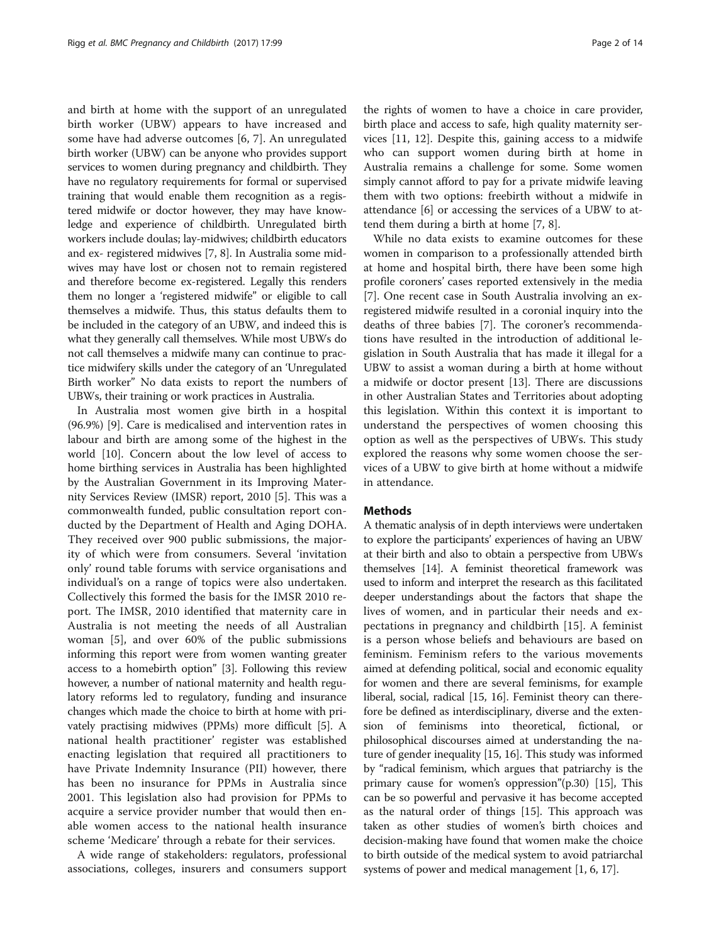and birth at home with the support of an unregulated birth worker (UBW) appears to have increased and some have had adverse outcomes [[6, 7](#page-12-0)]. An unregulated birth worker (UBW) can be anyone who provides support services to women during pregnancy and childbirth. They have no regulatory requirements for formal or supervised training that would enable them recognition as a registered midwife or doctor however, they may have knowledge and experience of childbirth. Unregulated birth workers include doulas; lay-midwives; childbirth educators and ex- registered midwives [[7](#page-12-0), [8](#page-12-0)]. In Australia some midwives may have lost or chosen not to remain registered and therefore become ex-registered. Legally this renders them no longer a 'registered midwife" or eligible to call themselves a midwife. Thus, this status defaults them to be included in the category of an UBW, and indeed this is what they generally call themselves. While most UBWs do not call themselves a midwife many can continue to practice midwifery skills under the category of an 'Unregulated Birth worker" No data exists to report the numbers of UBWs, their training or work practices in Australia.

In Australia most women give birth in a hospital (96.9%) [\[9\]](#page-12-0). Care is medicalised and intervention rates in labour and birth are among some of the highest in the world [\[10](#page-12-0)]. Concern about the low level of access to home birthing services in Australia has been highlighted by the Australian Government in its Improving Maternity Services Review (IMSR) report, 2010 [\[5](#page-12-0)]. This was a commonwealth funded, public consultation report conducted by the Department of Health and Aging DOHA. They received over 900 public submissions, the majority of which were from consumers. Several 'invitation only' round table forums with service organisations and individual's on a range of topics were also undertaken. Collectively this formed the basis for the IMSR 2010 report. The IMSR, 2010 identified that maternity care in Australia is not meeting the needs of all Australian woman [[5\]](#page-12-0), and over 60% of the public submissions informing this report were from women wanting greater access to a homebirth option" [[3\]](#page-12-0). Following this review however, a number of national maternity and health regulatory reforms led to regulatory, funding and insurance changes which made the choice to birth at home with privately practising midwives (PPMs) more difficult [[5\]](#page-12-0). A national health practitioner' register was established enacting legislation that required all practitioners to have Private Indemnity Insurance (PII) however, there has been no insurance for PPMs in Australia since 2001. This legislation also had provision for PPMs to acquire a service provider number that would then enable women access to the national health insurance scheme 'Medicare' through a rebate for their services.

A wide range of stakeholders: regulators, professional associations, colleges, insurers and consumers support

the rights of women to have a choice in care provider, birth place and access to safe, high quality maternity services [[11](#page-12-0), [12](#page-12-0)]. Despite this, gaining access to a midwife who can support women during birth at home in Australia remains a challenge for some. Some women simply cannot afford to pay for a private midwife leaving them with two options: freebirth without a midwife in attendance [[6](#page-12-0)] or accessing the services of a UBW to attend them during a birth at home [\[7](#page-12-0), [8](#page-12-0)].

While no data exists to examine outcomes for these women in comparison to a professionally attended birth at home and hospital birth, there have been some high profile coroners' cases reported extensively in the media [[7\]](#page-12-0). One recent case in South Australia involving an exregistered midwife resulted in a coronial inquiry into the deaths of three babies [\[7](#page-12-0)]. The coroner's recommendations have resulted in the introduction of additional legislation in South Australia that has made it illegal for a UBW to assist a woman during a birth at home without a midwife or doctor present [[13](#page-12-0)]. There are discussions in other Australian States and Territories about adopting this legislation. Within this context it is important to understand the perspectives of women choosing this option as well as the perspectives of UBWs. This study explored the reasons why some women choose the services of a UBW to give birth at home without a midwife in attendance.

# **Methods**

A thematic analysis of in depth interviews were undertaken to explore the participants' experiences of having an UBW at their birth and also to obtain a perspective from UBWs themselves [[14](#page-12-0)]. A feminist theoretical framework was used to inform and interpret the research as this facilitated deeper understandings about the factors that shape the lives of women, and in particular their needs and expectations in pregnancy and childbirth [\[15](#page-12-0)]. A feminist is a person whose beliefs and behaviours are based on feminism. Feminism refers to the various movements aimed at defending political, social and economic equality for women and there are several feminisms, for example liberal, social, radical [\[15, 16](#page-12-0)]. Feminist theory can therefore be defined as interdisciplinary, diverse and the extension of feminisms into theoretical, fictional, or philosophical discourses aimed at understanding the nature of gender inequality [\[15](#page-12-0), [16](#page-12-0)]. This study was informed by "radical feminism, which argues that patriarchy is the primary cause for women's oppression"(p.30) [[15](#page-12-0)], This can be so powerful and pervasive it has become accepted as the natural order of things [[15](#page-12-0)]. This approach was taken as other studies of women's birth choices and decision-making have found that women make the choice to birth outside of the medical system to avoid patriarchal systems of power and medical management [[1, 6](#page-12-0), [17](#page-12-0)].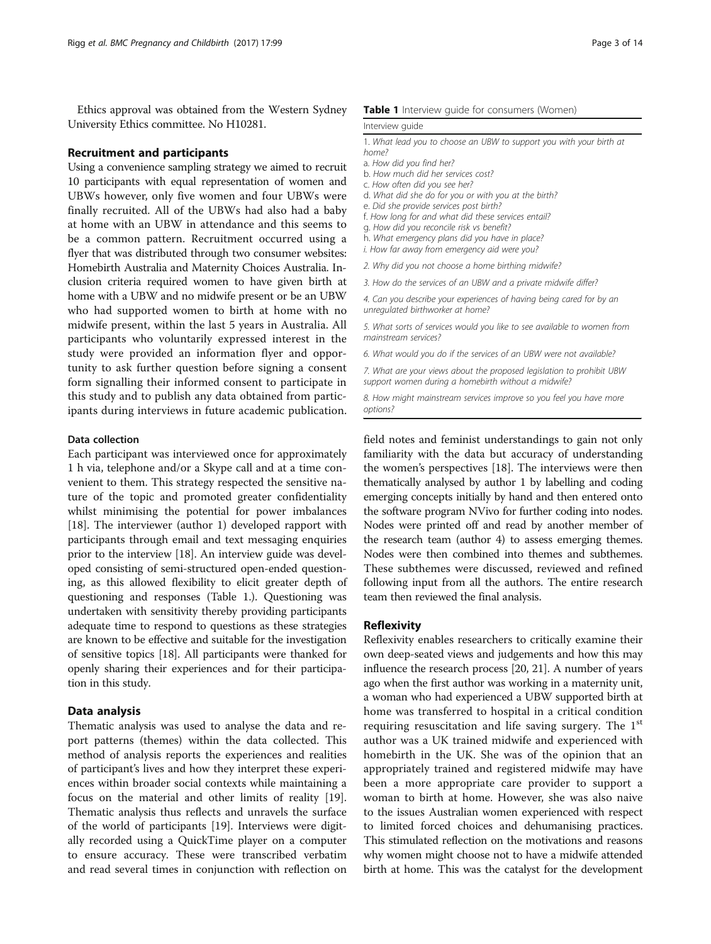Ethics approval was obtained from the Western Sydney University Ethics committee. No H10281.

#### Recruitment and participants

Using a convenience sampling strategy we aimed to recruit 10 participants with equal representation of women and UBWs however, only five women and four UBWs were finally recruited. All of the UBWs had also had a baby at home with an UBW in attendance and this seems to be a common pattern. Recruitment occurred using a flyer that was distributed through two consumer websites: Homebirth Australia and Maternity Choices Australia. Inclusion criteria required women to have given birth at home with a UBW and no midwife present or be an UBW who had supported women to birth at home with no midwife present, within the last 5 years in Australia. All participants who voluntarily expressed interest in the study were provided an information flyer and opportunity to ask further question before signing a consent form signalling their informed consent to participate in this study and to publish any data obtained from participants during interviews in future academic publication.

# Data collection

Each participant was interviewed once for approximately 1 h via, telephone and/or a Skype call and at a time convenient to them. This strategy respected the sensitive nature of the topic and promoted greater confidentiality whilst minimising the potential for power imbalances [[18\]](#page-12-0). The interviewer (author 1) developed rapport with participants through email and text messaging enquiries prior to the interview [[18\]](#page-12-0). An interview guide was developed consisting of semi-structured open-ended questioning, as this allowed flexibility to elicit greater depth of questioning and responses (Table 1.). Questioning was undertaken with sensitivity thereby providing participants adequate time to respond to questions as these strategies are known to be effective and suitable for the investigation of sensitive topics [\[18\]](#page-12-0). All participants were thanked for openly sharing their experiences and for their participation in this study.

# Data analysis

Thematic analysis was used to analyse the data and report patterns (themes) within the data collected. This method of analysis reports the experiences and realities of participant's lives and how they interpret these experiences within broader social contexts while maintaining a focus on the material and other limits of reality [\[19](#page-12-0)]. Thematic analysis thus reflects and unravels the surface of the world of participants [\[19\]](#page-12-0). Interviews were digitally recorded using a QuickTime player on a computer to ensure accuracy. These were transcribed verbatim and read several times in conjunction with reflection on

#### Interview guide

1. What lead you to choose an UBW to support you with your birth at home?

a. How did you find her?

- b. How much did her services cost?
- c. How often did you see her?
- d. What did she do for you or with you at the birth?
- e. Did she provide services post birth?
- f. How long for and what did these services entail?
- g. How did you reconcile risk vs benefit?
- h. What emergency plans did you have in place?
- i. How far away from emergency aid were you?
- 2. Why did you not choose a home birthing midwife?
- 3. How do the services of an UBW and a private midwife differ?

4. Can you describe your experiences of having being cared for by an unregulated birthworker at home?

5. What sorts of services would you like to see available to women from mainstream services?

6. What would you do if the services of an UBW were not available?

7. What are your views about the proposed legislation to prohibit UBW support women during a homebirth without a midwife?

8. How might mainstream services improve so you feel you have more options?

field notes and feminist understandings to gain not only familiarity with the data but accuracy of understanding the women's perspectives [\[18\]](#page-12-0). The interviews were then thematically analysed by author 1 by labelling and coding emerging concepts initially by hand and then entered onto the software program NVivo for further coding into nodes. Nodes were printed off and read by another member of the research team (author 4) to assess emerging themes. Nodes were then combined into themes and subthemes. These subthemes were discussed, reviewed and refined following input from all the authors. The entire research team then reviewed the final analysis.

# Reflexivity

Reflexivity enables researchers to critically examine their own deep-seated views and judgements and how this may influence the research process [\[20](#page-12-0), [21\]](#page-12-0). A number of years ago when the first author was working in a maternity unit, a woman who had experienced a UBW supported birth at home was transferred to hospital in a critical condition requiring resuscitation and life saving surgery. The  $1<sup>st</sup>$ author was a UK trained midwife and experienced with homebirth in the UK. She was of the opinion that an appropriately trained and registered midwife may have been a more appropriate care provider to support a woman to birth at home. However, she was also naive to the issues Australian women experienced with respect to limited forced choices and dehumanising practices. This stimulated reflection on the motivations and reasons why women might choose not to have a midwife attended birth at home. This was the catalyst for the development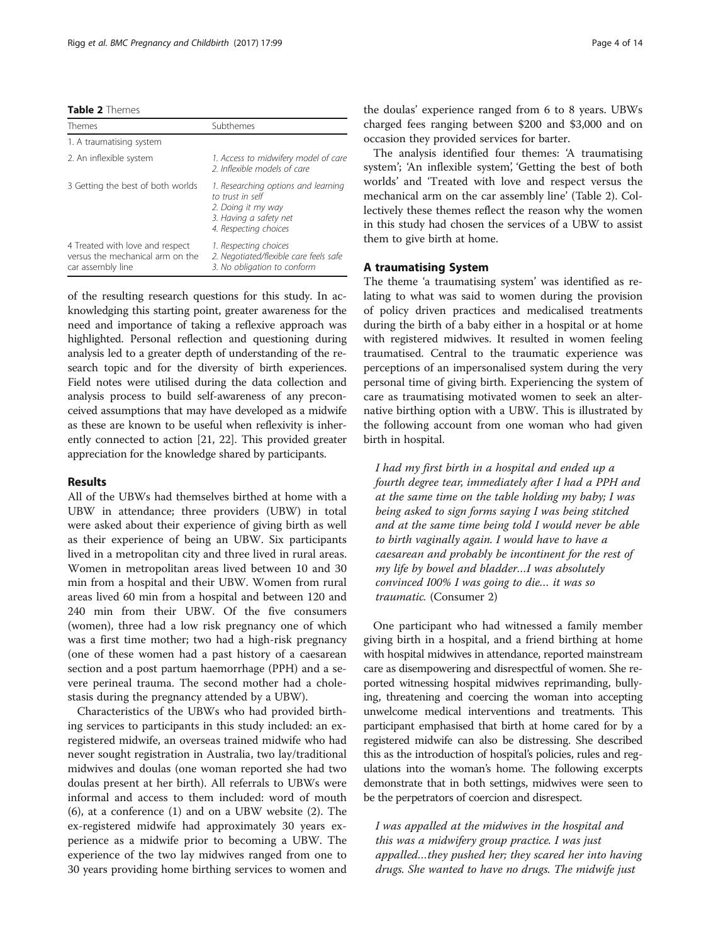Table 2 Themes

| Themes                                                                                   | Subthemes                                                                                                                        |
|------------------------------------------------------------------------------------------|----------------------------------------------------------------------------------------------------------------------------------|
| 1. A traumatising system                                                                 |                                                                                                                                  |
| 2. An inflexible system                                                                  | 1. Access to midwifery model of care<br>2 Inflexible models of care                                                              |
| 3 Getting the best of both worlds                                                        | 1. Researching options and learning<br>to trust in self<br>2. Doing it my way<br>3. Having a safety net<br>4. Respecting choices |
| 4 Treated with love and respect<br>versus the mechanical arm on the<br>car assembly line | 1. Respecting choices<br>2. Negotiated/flexible care feels safe<br>3. No obligation to conform                                   |

of the resulting research questions for this study. In acknowledging this starting point, greater awareness for the need and importance of taking a reflexive approach was highlighted. Personal reflection and questioning during analysis led to a greater depth of understanding of the research topic and for the diversity of birth experiences. Field notes were utilised during the data collection and analysis process to build self-awareness of any preconceived assumptions that may have developed as a midwife as these are known to be useful when reflexivity is inherently connected to action [\[21, 22](#page-12-0)]. This provided greater appreciation for the knowledge shared by participants.

#### Results

All of the UBWs had themselves birthed at home with a UBW in attendance; three providers (UBW) in total were asked about their experience of giving birth as well as their experience of being an UBW. Six participants lived in a metropolitan city and three lived in rural areas. Women in metropolitan areas lived between 10 and 30 min from a hospital and their UBW. Women from rural areas lived 60 min from a hospital and between 120 and 240 min from their UBW. Of the five consumers (women), three had a low risk pregnancy one of which was a first time mother; two had a high-risk pregnancy (one of these women had a past history of a caesarean section and a post partum haemorrhage (PPH) and a severe perineal trauma. The second mother had a cholestasis during the pregnancy attended by a UBW).

Characteristics of the UBWs who had provided birthing services to participants in this study included: an exregistered midwife, an overseas trained midwife who had never sought registration in Australia, two lay/traditional midwives and doulas (one woman reported she had two doulas present at her birth). All referrals to UBWs were informal and access to them included: word of mouth (6), at a conference (1) and on a UBW website (2). The ex-registered midwife had approximately 30 years experience as a midwife prior to becoming a UBW. The experience of the two lay midwives ranged from one to 30 years providing home birthing services to women and the doulas' experience ranged from 6 to 8 years. UBWs charged fees ranging between \$200 and \$3,000 and on occasion they provided services for barter.

The analysis identified four themes: 'A traumatising system'; 'An inflexible system', 'Getting the best of both worlds' and 'Treated with love and respect versus the mechanical arm on the car assembly line' (Table 2). Collectively these themes reflect the reason why the women in this study had chosen the services of a UBW to assist them to give birth at home.

# A traumatising System

The theme 'a traumatising system' was identified as relating to what was said to women during the provision of policy driven practices and medicalised treatments during the birth of a baby either in a hospital or at home with registered midwives. It resulted in women feeling traumatised. Central to the traumatic experience was perceptions of an impersonalised system during the very personal time of giving birth. Experiencing the system of care as traumatising motivated women to seek an alternative birthing option with a UBW. This is illustrated by the following account from one woman who had given birth in hospital.

I had my first birth in a hospital and ended up a fourth degree tear, immediately after I had a PPH and at the same time on the table holding my baby; I was being asked to sign forms saying I was being stitched and at the same time being told I would never be able to birth vaginally again. I would have to have a caesarean and probably be incontinent for the rest of my life by bowel and bladder…I was absolutely convinced I00% I was going to die… it was so traumatic. (Consumer 2)

One participant who had witnessed a family member giving birth in a hospital, and a friend birthing at home with hospital midwives in attendance, reported mainstream care as disempowering and disrespectful of women. She reported witnessing hospital midwives reprimanding, bullying, threatening and coercing the woman into accepting unwelcome medical interventions and treatments. This participant emphasised that birth at home cared for by a registered midwife can also be distressing. She described this as the introduction of hospital's policies, rules and regulations into the woman's home. The following excerpts demonstrate that in both settings, midwives were seen to be the perpetrators of coercion and disrespect.

I was appalled at the midwives in the hospital and this was a midwifery group practice. I was just appalled…they pushed her; they scared her into having drugs. She wanted to have no drugs. The midwife just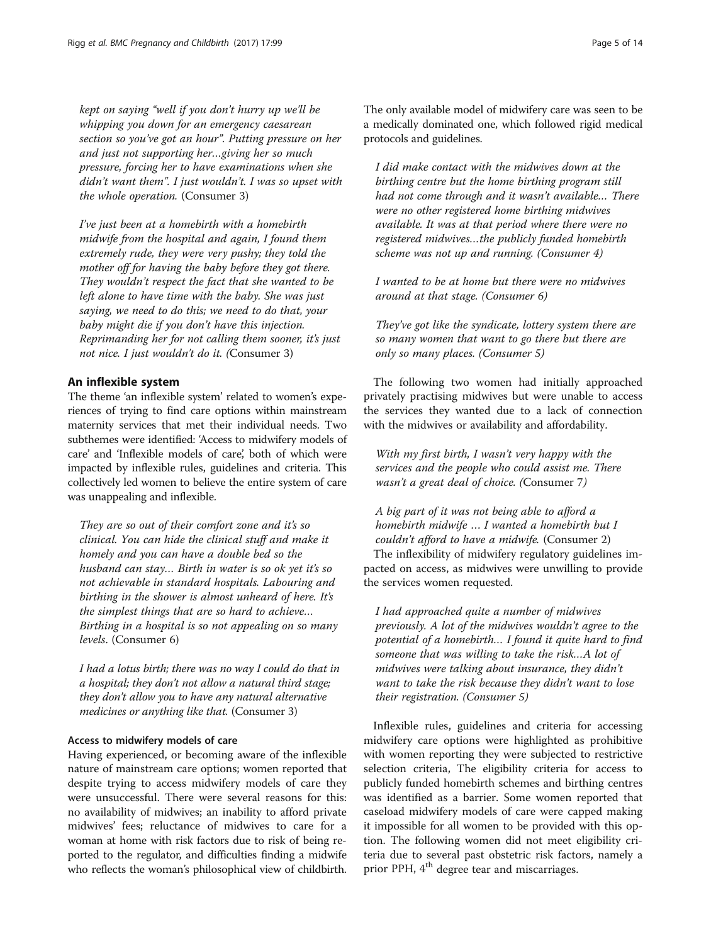kept on saying "well if you don't hurry up we'll be whipping you down for an emergency caesarean section so you've got an hour". Putting pressure on her and just not supporting her…giving her so much pressure, forcing her to have examinations when she didn't want them". I just wouldn't. I was so upset with the whole operation. (Consumer 3)

I've just been at a homebirth with a homebirth midwife from the hospital and again, I found them extremely rude, they were very pushy; they told the mother off for having the baby before they got there. They wouldn't respect the fact that she wanted to be left alone to have time with the baby. She was just saying, we need to do this; we need to do that, your baby might die if you don't have this injection. Reprimanding her for not calling them sooner, it's just not nice. I just wouldn't do it. (Consumer 3)

# An inflexible system

The theme 'an inflexible system' related to women's experiences of trying to find care options within mainstream maternity services that met their individual needs. Two subthemes were identified: 'Access to midwifery models of care' and 'Inflexible models of care', both of which were impacted by inflexible rules, guidelines and criteria. This collectively led women to believe the entire system of care was unappealing and inflexible.

They are so out of their comfort zone and it's so clinical. You can hide the clinical stuff and make it homely and you can have a double bed so the husband can stay… Birth in water is so ok yet it's so not achievable in standard hospitals. Labouring and birthing in the shower is almost unheard of here. It's the simplest things that are so hard to achieve… Birthing in a hospital is so not appealing on so many levels. (Consumer 6)

I had a lotus birth; there was no way I could do that in a hospital; they don't not allow a natural third stage; they don't allow you to have any natural alternative medicines or anything like that. (Consumer 3)

# Access to midwifery models of care

Having experienced, or becoming aware of the inflexible nature of mainstream care options; women reported that despite trying to access midwifery models of care they were unsuccessful. There were several reasons for this: no availability of midwives; an inability to afford private midwives' fees; reluctance of midwives to care for a woman at home with risk factors due to risk of being reported to the regulator, and difficulties finding a midwife who reflects the woman's philosophical view of childbirth. The only available model of midwifery care was seen to be a medically dominated one, which followed rigid medical protocols and guidelines.

I did make contact with the midwives down at the birthing centre but the home birthing program still had not come through and it wasn't available… There were no other registered home birthing midwives available. It was at that period where there were no registered midwives…the publicly funded homebirth scheme was not up and running. (Consumer 4)

I wanted to be at home but there were no midwives around at that stage. (Consumer 6)

They've got like the syndicate, lottery system there are so many women that want to go there but there are only so many places. (Consumer 5)

The following two women had initially approached privately practising midwives but were unable to access the services they wanted due to a lack of connection with the midwives or availability and affordability.

With my first birth, I wasn't very happy with the services and the people who could assist me. There wasn't a great deal of choice. (Consumer 7)

A big part of it was not being able to afford a homebirth midwife … I wanted a homebirth but I couldn't afford to have a midwife. (Consumer 2)

The inflexibility of midwifery regulatory guidelines impacted on access, as midwives were unwilling to provide the services women requested.

I had approached quite a number of midwives previously. A lot of the midwives wouldn't agree to the potential of a homebirth… I found it quite hard to find someone that was willing to take the risk…A lot of midwives were talking about insurance, they didn't want to take the risk because they didn't want to lose their registration. (Consumer 5)

Inflexible rules, guidelines and criteria for accessing midwifery care options were highlighted as prohibitive with women reporting they were subjected to restrictive selection criteria, The eligibility criteria for access to publicly funded homebirth schemes and birthing centres was identified as a barrier. Some women reported that caseload midwifery models of care were capped making it impossible for all women to be provided with this option. The following women did not meet eligibility criteria due to several past obstetric risk factors, namely a prior PPH, 4<sup>th</sup> degree tear and miscarriages.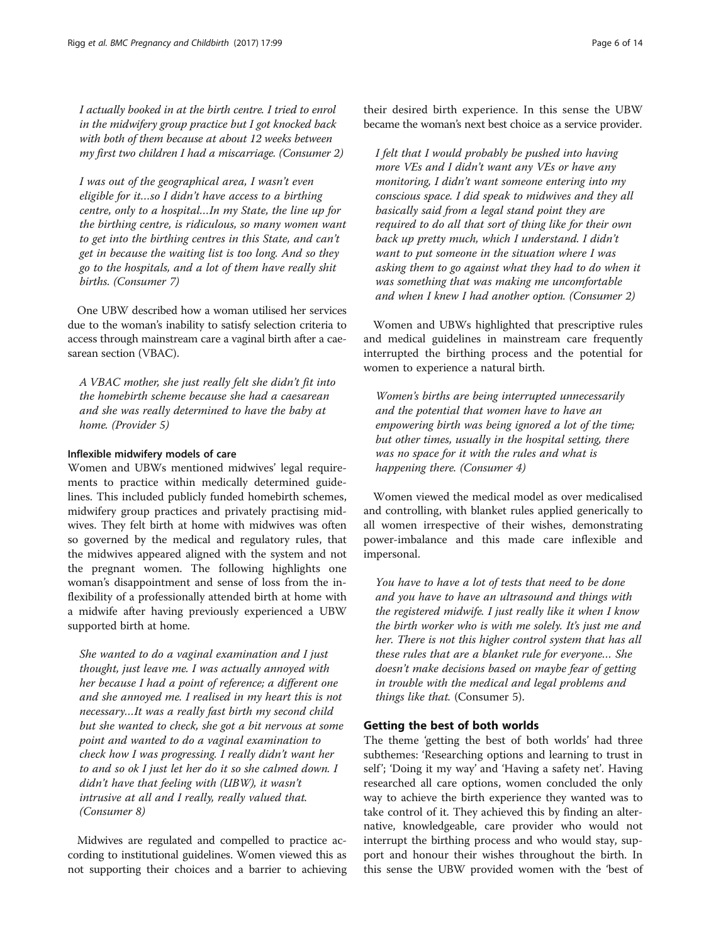I actually booked in at the birth centre. I tried to enrol in the midwifery group practice but I got knocked back with both of them because at about 12 weeks between my first two children I had a miscarriage. (Consumer 2)

I was out of the geographical area, I wasn't even eligible for it…so I didn't have access to a birthing centre, only to a hospital…In my State, the line up for the birthing centre, is ridiculous, so many women want to get into the birthing centres in this State, and can't get in because the waiting list is too long. And so they go to the hospitals, and a lot of them have really shit births. (Consumer 7)

One UBW described how a woman utilised her services due to the woman's inability to satisfy selection criteria to access through mainstream care a vaginal birth after a caesarean section (VBAC).

A VBAC mother, she just really felt she didn't fit into the homebirth scheme because she had a caesarean and she was really determined to have the baby at home. (Provider 5)

# Inflexible midwifery models of care

Women and UBWs mentioned midwives' legal requirements to practice within medically determined guidelines. This included publicly funded homebirth schemes, midwifery group practices and privately practising midwives. They felt birth at home with midwives was often so governed by the medical and regulatory rules, that the midwives appeared aligned with the system and not the pregnant women. The following highlights one woman's disappointment and sense of loss from the inflexibility of a professionally attended birth at home with a midwife after having previously experienced a UBW supported birth at home.

She wanted to do a vaginal examination and I just thought, just leave me. I was actually annoyed with her because I had a point of reference; a different one and she annoyed me. I realised in my heart this is not necessary…It was a really fast birth my second child but she wanted to check, she got a bit nervous at some point and wanted to do a vaginal examination to check how I was progressing. I really didn't want her to and so ok I just let her do it so she calmed down. I didn't have that feeling with (UBW), it wasn't intrusive at all and I really, really valued that. (Consumer 8)

Midwives are regulated and compelled to practice according to institutional guidelines. Women viewed this as not supporting their choices and a barrier to achieving their desired birth experience. In this sense the UBW became the woman's next best choice as a service provider.

I felt that I would probably be pushed into having more VEs and I didn't want any VEs or have any monitoring, I didn't want someone entering into my conscious space. I did speak to midwives and they all basically said from a legal stand point they are required to do all that sort of thing like for their own back up pretty much, which I understand. I didn't want to put someone in the situation where I was asking them to go against what they had to do when it was something that was making me uncomfortable and when I knew I had another option. (Consumer 2)

Women and UBWs highlighted that prescriptive rules and medical guidelines in mainstream care frequently interrupted the birthing process and the potential for women to experience a natural birth.

Women's births are being interrupted unnecessarily and the potential that women have to have an empowering birth was being ignored a lot of the time; but other times, usually in the hospital setting, there was no space for it with the rules and what is happening there. (Consumer 4)

Women viewed the medical model as over medicalised and controlling, with blanket rules applied generically to all women irrespective of their wishes, demonstrating power-imbalance and this made care inflexible and impersonal.

You have to have a lot of tests that need to be done and you have to have an ultrasound and things with the registered midwife. I just really like it when I know the birth worker who is with me solely. It's just me and her. There is not this higher control system that has all these rules that are a blanket rule for everyone… She doesn't make decisions based on maybe fear of getting in trouble with the medical and legal problems and things like that. (Consumer 5).

#### Getting the best of both worlds

The theme 'getting the best of both worlds' had three subthemes: 'Researching options and learning to trust in self'; 'Doing it my way' and 'Having a safety net'. Having researched all care options, women concluded the only way to achieve the birth experience they wanted was to take control of it. They achieved this by finding an alternative, knowledgeable, care provider who would not interrupt the birthing process and who would stay, support and honour their wishes throughout the birth. In this sense the UBW provided women with the 'best of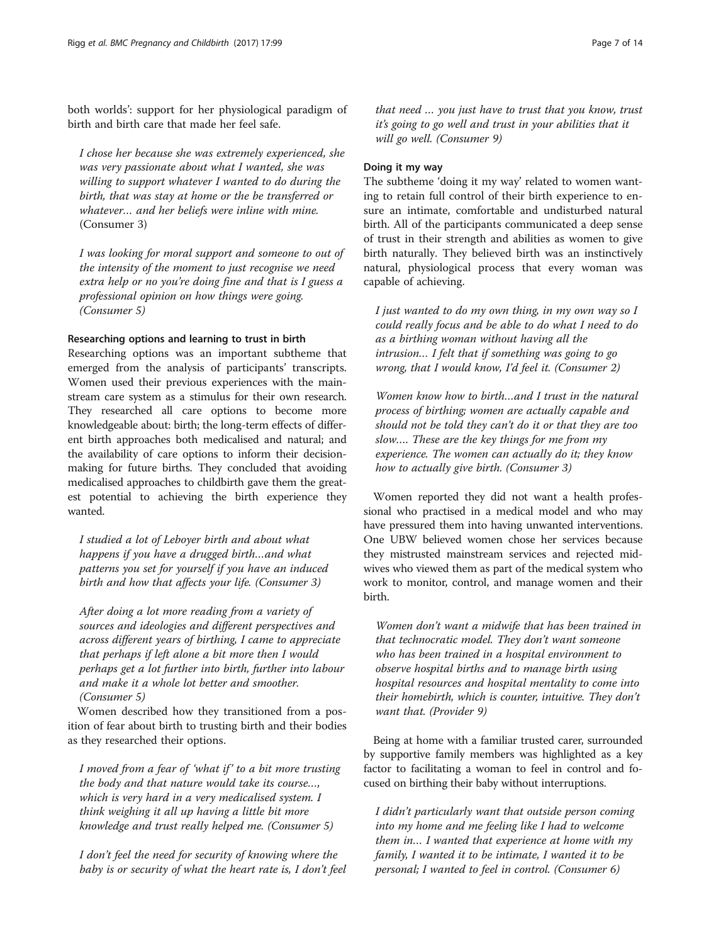both worlds': support for her physiological paradigm of birth and birth care that made her feel safe.

I chose her because she was extremely experienced, she was very passionate about what I wanted, she was willing to support whatever I wanted to do during the birth, that was stay at home or the be transferred or whatever… and her beliefs were inline with mine. (Consumer 3)

I was looking for moral support and someone to out of the intensity of the moment to just recognise we need extra help or no you're doing fine and that is I guess a professional opinion on how things were going. (Consumer 5)

# Researching options and learning to trust in birth

Researching options was an important subtheme that emerged from the analysis of participants' transcripts. Women used their previous experiences with the mainstream care system as a stimulus for their own research. They researched all care options to become more knowledgeable about: birth; the long-term effects of different birth approaches both medicalised and natural; and the availability of care options to inform their decisionmaking for future births. They concluded that avoiding medicalised approaches to childbirth gave them the greatest potential to achieving the birth experience they wanted.

I studied a lot of Leboyer birth and about what happens if you have a drugged birth…and what patterns you set for yourself if you have an induced birth and how that affects your life. (Consumer 3)

After doing a lot more reading from a variety of sources and ideologies and different perspectives and across different years of birthing, I came to appreciate that perhaps if left alone a bit more then I would perhaps get a lot further into birth, further into labour and make it a whole lot better and smoother. (Consumer 5)

Women described how they transitioned from a position of fear about birth to trusting birth and their bodies as they researched their options.

I moved from a fear of 'what if' to a bit more trusting the body and that nature would take its course…, which is very hard in a very medicalised system. I think weighing it all up having a little bit more knowledge and trust really helped me. (Consumer 5)

I don't feel the need for security of knowing where the baby is or security of what the heart rate is, I don't feel that need … you just have to trust that you know, trust it's going to go well and trust in your abilities that it will go well. (Consumer 9)

# Doing it my way

The subtheme 'doing it my way' related to women wanting to retain full control of their birth experience to ensure an intimate, comfortable and undisturbed natural birth. All of the participants communicated a deep sense of trust in their strength and abilities as women to give birth naturally. They believed birth was an instinctively natural, physiological process that every woman was capable of achieving.

I just wanted to do my own thing, in my own way so I could really focus and be able to do what I need to do as a birthing woman without having all the intrusion… I felt that if something was going to go wrong, that I would know, I'd feel it. (Consumer 2)

Women know how to birth…and I trust in the natural process of birthing; women are actually capable and should not be told they can't do it or that they are too slow…. These are the key things for me from my experience. The women can actually do it; they know how to actually give birth. (Consumer 3)

Women reported they did not want a health professional who practised in a medical model and who may have pressured them into having unwanted interventions. One UBW believed women chose her services because they mistrusted mainstream services and rejected midwives who viewed them as part of the medical system who work to monitor, control, and manage women and their birth.

Women don't want a midwife that has been trained in that technocratic model. They don't want someone who has been trained in a hospital environment to observe hospital births and to manage birth using hospital resources and hospital mentality to come into their homebirth, which is counter, intuitive. They don't want that. (Provider 9)

Being at home with a familiar trusted carer, surrounded by supportive family members was highlighted as a key factor to facilitating a woman to feel in control and focused on birthing their baby without interruptions.

I didn't particularly want that outside person coming into my home and me feeling like I had to welcome them in… I wanted that experience at home with my family, I wanted it to be intimate, I wanted it to be personal; I wanted to feel in control. (Consumer 6)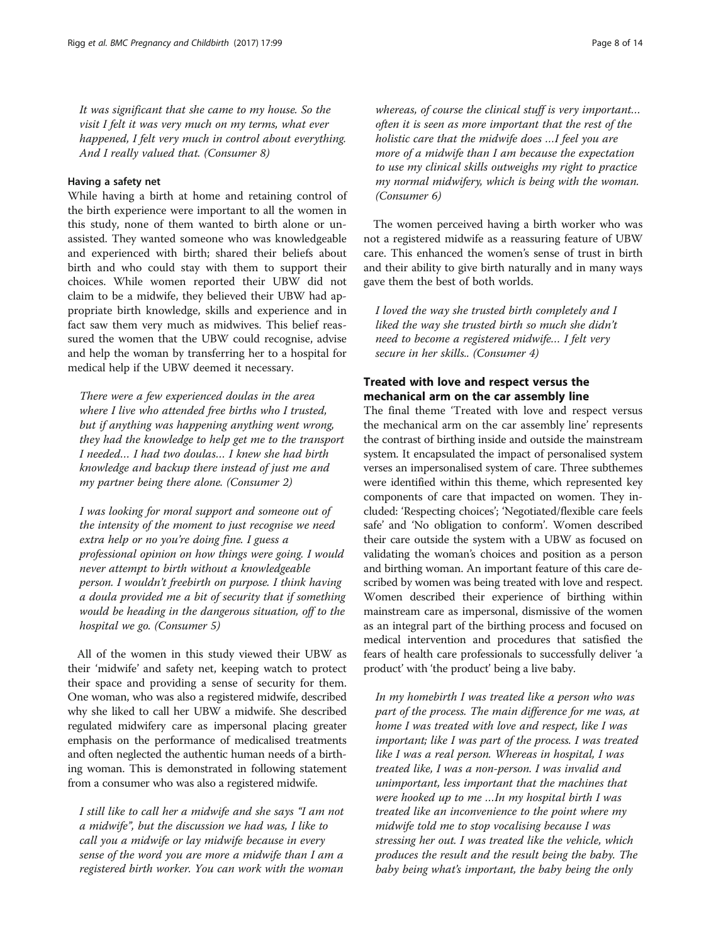It was significant that she came to my house. So the visit I felt it was very much on my terms, what ever happened, I felt very much in control about everything. And I really valued that. (Consumer 8)

### Having a safety net

While having a birth at home and retaining control of the birth experience were important to all the women in this study, none of them wanted to birth alone or unassisted. They wanted someone who was knowledgeable and experienced with birth; shared their beliefs about birth and who could stay with them to support their choices. While women reported their UBW did not claim to be a midwife, they believed their UBW had appropriate birth knowledge, skills and experience and in fact saw them very much as midwives. This belief reassured the women that the UBW could recognise, advise and help the woman by transferring her to a hospital for medical help if the UBW deemed it necessary.

There were a few experienced doulas in the area where I live who attended free births who I trusted, but if anything was happening anything went wrong, they had the knowledge to help get me to the transport I needed… I had two doulas… I knew she had birth knowledge and backup there instead of just me and my partner being there alone. (Consumer 2)

I was looking for moral support and someone out of the intensity of the moment to just recognise we need extra help or no you're doing fine. I guess a professional opinion on how things were going. I would never attempt to birth without a knowledgeable person. I wouldn't freebirth on purpose. I think having a doula provided me a bit of security that if something would be heading in the dangerous situation, off to the hospital we go. (Consumer 5)

All of the women in this study viewed their UBW as their 'midwife' and safety net, keeping watch to protect their space and providing a sense of security for them. One woman, who was also a registered midwife, described why she liked to call her UBW a midwife. She described regulated midwifery care as impersonal placing greater emphasis on the performance of medicalised treatments and often neglected the authentic human needs of a birthing woman. This is demonstrated in following statement from a consumer who was also a registered midwife.

I still like to call her a midwife and she says "I am not a midwife", but the discussion we had was, I like to call you a midwife or lay midwife because in every sense of the word you are more a midwife than I am a registered birth worker. You can work with the woman

whereas, of course the clinical stuff is very important... often it is seen as more important that the rest of the holistic care that the midwife does …I feel you are more of a midwife than I am because the expectation to use my clinical skills outweighs my right to practice my normal midwifery, which is being with the woman. (Consumer 6)

The women perceived having a birth worker who was not a registered midwife as a reassuring feature of UBW care. This enhanced the women's sense of trust in birth and their ability to give birth naturally and in many ways gave them the best of both worlds.

I loved the way she trusted birth completely and I liked the way she trusted birth so much she didn't need to become a registered midwife… I felt very secure in her skills.. (Consumer 4)

# Treated with love and respect versus the mechanical arm on the car assembly line

The final theme 'Treated with love and respect versus the mechanical arm on the car assembly line' represents the contrast of birthing inside and outside the mainstream system. It encapsulated the impact of personalised system verses an impersonalised system of care. Three subthemes were identified within this theme, which represented key components of care that impacted on women. They included: 'Respecting choices'; 'Negotiated/flexible care feels safe' and 'No obligation to conform'. Women described their care outside the system with a UBW as focused on validating the woman's choices and position as a person and birthing woman. An important feature of this care described by women was being treated with love and respect. Women described their experience of birthing within mainstream care as impersonal, dismissive of the women as an integral part of the birthing process and focused on medical intervention and procedures that satisfied the fears of health care professionals to successfully deliver 'a product' with 'the product' being a live baby.

In my homebirth I was treated like a person who was part of the process. The main difference for me was, at home I was treated with love and respect, like I was important; like I was part of the process. I was treated like I was a real person. Whereas in hospital, I was treated like, I was a non-person. I was invalid and unimportant, less important that the machines that were hooked up to me …In my hospital birth I was treated like an inconvenience to the point where my midwife told me to stop vocalising because I was stressing her out. I was treated like the vehicle, which produces the result and the result being the baby. The baby being what's important, the baby being the only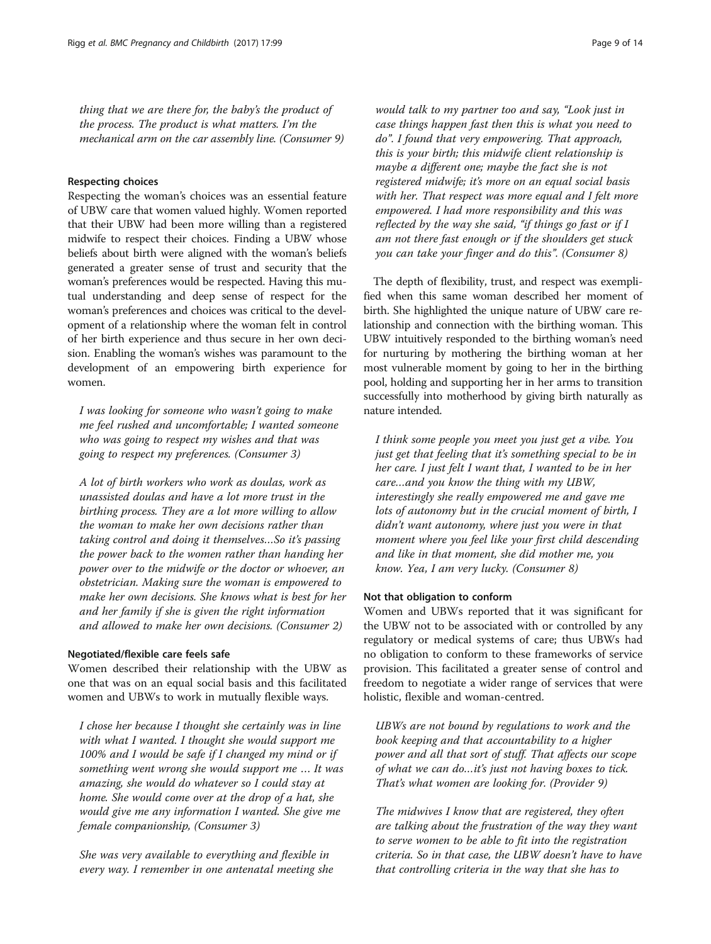thing that we are there for, the baby's the product of the process. The product is what matters. I'm the mechanical arm on the car assembly line. (Consumer 9)

# Respecting choices

Respecting the woman's choices was an essential feature of UBW care that women valued highly. Women reported that their UBW had been more willing than a registered midwife to respect their choices. Finding a UBW whose beliefs about birth were aligned with the woman's beliefs generated a greater sense of trust and security that the woman's preferences would be respected. Having this mutual understanding and deep sense of respect for the woman's preferences and choices was critical to the development of a relationship where the woman felt in control of her birth experience and thus secure in her own decision. Enabling the woman's wishes was paramount to the development of an empowering birth experience for women.

I was looking for someone who wasn't going to make me feel rushed and uncomfortable; I wanted someone who was going to respect my wishes and that was going to respect my preferences. (Consumer 3)

A lot of birth workers who work as doulas, work as unassisted doulas and have a lot more trust in the birthing process. They are a lot more willing to allow the woman to make her own decisions rather than taking control and doing it themselves…So it's passing the power back to the women rather than handing her power over to the midwife or the doctor or whoever, an obstetrician. Making sure the woman is empowered to make her own decisions. She knows what is best for her and her family if she is given the right information and allowed to make her own decisions. (Consumer 2)

#### Negotiated/flexible care feels safe

Women described their relationship with the UBW as one that was on an equal social basis and this facilitated women and UBWs to work in mutually flexible ways.

I chose her because I thought she certainly was in line with what I wanted. I thought she would support me 100% and I would be safe if I changed my mind or if something went wrong she would support me … It was amazing, she would do whatever so I could stay at home. She would come over at the drop of a hat, she would give me any information I wanted. She give me female companionship, (Consumer 3)

She was very available to everything and flexible in every way. I remember in one antenatal meeting she

would talk to my partner too and say, "Look just in case things happen fast then this is what you need to do". I found that very empowering. That approach, this is your birth; this midwife client relationship is maybe a different one; maybe the fact she is not registered midwife; it's more on an equal social basis with her. That respect was more equal and I felt more empowered. I had more responsibility and this was reflected by the way she said, "if things go fast or if I am not there fast enough or if the shoulders get stuck you can take your finger and do this". (Consumer 8)

The depth of flexibility, trust, and respect was exemplified when this same woman described her moment of birth. She highlighted the unique nature of UBW care relationship and connection with the birthing woman. This UBW intuitively responded to the birthing woman's need for nurturing by mothering the birthing woman at her most vulnerable moment by going to her in the birthing pool, holding and supporting her in her arms to transition successfully into motherhood by giving birth naturally as nature intended.

I think some people you meet you just get a vibe. You just get that feeling that it's something special to be in her care. I just felt I want that, I wanted to be in her care…and you know the thing with my UBW, interestingly she really empowered me and gave me lots of autonomy but in the crucial moment of birth, I didn't want autonomy, where just you were in that moment where you feel like your first child descending and like in that moment, she did mother me, you know. Yea, I am very lucky. (Consumer 8)

#### Not that obligation to conform

Women and UBWs reported that it was significant for the UBW not to be associated with or controlled by any regulatory or medical systems of care; thus UBWs had no obligation to conform to these frameworks of service provision. This facilitated a greater sense of control and freedom to negotiate a wider range of services that were holistic, flexible and woman-centred.

UBWs are not bound by regulations to work and the book keeping and that accountability to a higher power and all that sort of stuff. That affects our scope of what we can do…it's just not having boxes to tick. That's what women are looking for. (Provider 9)

The midwives I know that are registered, they often are talking about the frustration of the way they want to serve women to be able to fit into the registration criteria. So in that case, the UBW doesn't have to have that controlling criteria in the way that she has to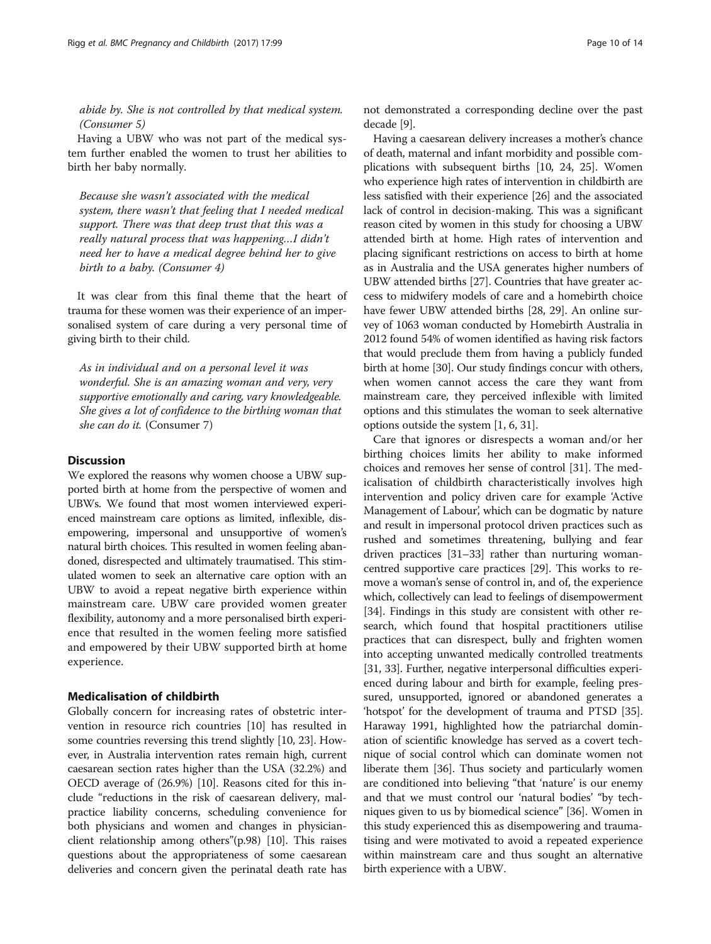abide by. She is not controlled by that medical system. (Consumer 5)

Having a UBW who was not part of the medical system further enabled the women to trust her abilities to birth her baby normally.

Because she wasn't associated with the medical system, there wasn't that feeling that I needed medical support. There was that deep trust that this was a really natural process that was happening…I didn't need her to have a medical degree behind her to give birth to a baby. (Consumer 4)

It was clear from this final theme that the heart of trauma for these women was their experience of an impersonalised system of care during a very personal time of giving birth to their child.

As in individual and on a personal level it was wonderful. She is an amazing woman and very, very supportive emotionally and caring, vary knowledgeable. She gives a lot of confidence to the birthing woman that she can do it. (Consumer 7)

# **Discussion**

We explored the reasons why women choose a UBW supported birth at home from the perspective of women and UBWs. We found that most women interviewed experienced mainstream care options as limited, inflexible, disempowering, impersonal and unsupportive of women's natural birth choices. This resulted in women feeling abandoned, disrespected and ultimately traumatised. This stimulated women to seek an alternative care option with an UBW to avoid a repeat negative birth experience within mainstream care. UBW care provided women greater flexibility, autonomy and a more personalised birth experience that resulted in the women feeling more satisfied and empowered by their UBW supported birth at home experience.

# Medicalisation of childbirth

Globally concern for increasing rates of obstetric intervention in resource rich countries [[10\]](#page-12-0) has resulted in some countries reversing this trend slightly [[10](#page-12-0), [23\]](#page-12-0). However, in Australia intervention rates remain high, current caesarean section rates higher than the USA (32.2%) and OECD average of (26.9%) [\[10\]](#page-12-0). Reasons cited for this include "reductions in the risk of caesarean delivery, malpractice liability concerns, scheduling convenience for both physicians and women and changes in physicianclient relationship among others"(p.98) [\[10](#page-12-0)]. This raises questions about the appropriateness of some caesarean deliveries and concern given the perinatal death rate has

not demonstrated a corresponding decline over the past decade [\[9\]](#page-12-0).

Having a caesarean delivery increases a mother's chance of death, maternal and infant morbidity and possible complications with subsequent births [\[10, 24, 25\]](#page-12-0). Women who experience high rates of intervention in childbirth are less satisfied with their experience [[26](#page-12-0)] and the associated lack of control in decision-making. This was a significant reason cited by women in this study for choosing a UBW attended birth at home. High rates of intervention and placing significant restrictions on access to birth at home as in Australia and the USA generates higher numbers of UBW attended births [[27](#page-12-0)]. Countries that have greater access to midwifery models of care and a homebirth choice have fewer UBW attended births [\[28, 29](#page-12-0)]. An online survey of 1063 woman conducted by Homebirth Australia in 2012 found 54% of women identified as having risk factors that would preclude them from having a publicly funded birth at home [\[30\]](#page-12-0). Our study findings concur with others, when women cannot access the care they want from mainstream care, they perceived inflexible with limited options and this stimulates the woman to seek alternative options outside the system [\[1, 6](#page-12-0), [31\]](#page-13-0).

Care that ignores or disrespects a woman and/or her birthing choices limits her ability to make informed choices and removes her sense of control [\[31\]](#page-13-0). The medicalisation of childbirth characteristically involves high intervention and policy driven care for example 'Active Management of Labour', which can be dogmatic by nature and result in impersonal protocol driven practices such as rushed and sometimes threatening, bullying and fear driven practices [[31](#page-13-0)–[33\]](#page-13-0) rather than nurturing womancentred supportive care practices [\[29\]](#page-12-0). This works to remove a woman's sense of control in, and of, the experience which, collectively can lead to feelings of disempowerment [[34](#page-13-0)]. Findings in this study are consistent with other research, which found that hospital practitioners utilise practices that can disrespect, bully and frighten women into accepting unwanted medically controlled treatments [[31](#page-13-0), [33](#page-13-0)]. Further, negative interpersonal difficulties experienced during labour and birth for example, feeling pressured, unsupported, ignored or abandoned generates a 'hotspot' for the development of trauma and PTSD [[35](#page-13-0)]. Haraway 1991, highlighted how the patriarchal domination of scientific knowledge has served as a covert technique of social control which can dominate women not liberate them [\[36\]](#page-13-0). Thus society and particularly women are conditioned into believing "that 'nature' is our enemy and that we must control our 'natural bodies' "by techniques given to us by biomedical science" [[36](#page-13-0)]. Women in this study experienced this as disempowering and traumatising and were motivated to avoid a repeated experience within mainstream care and thus sought an alternative birth experience with a UBW.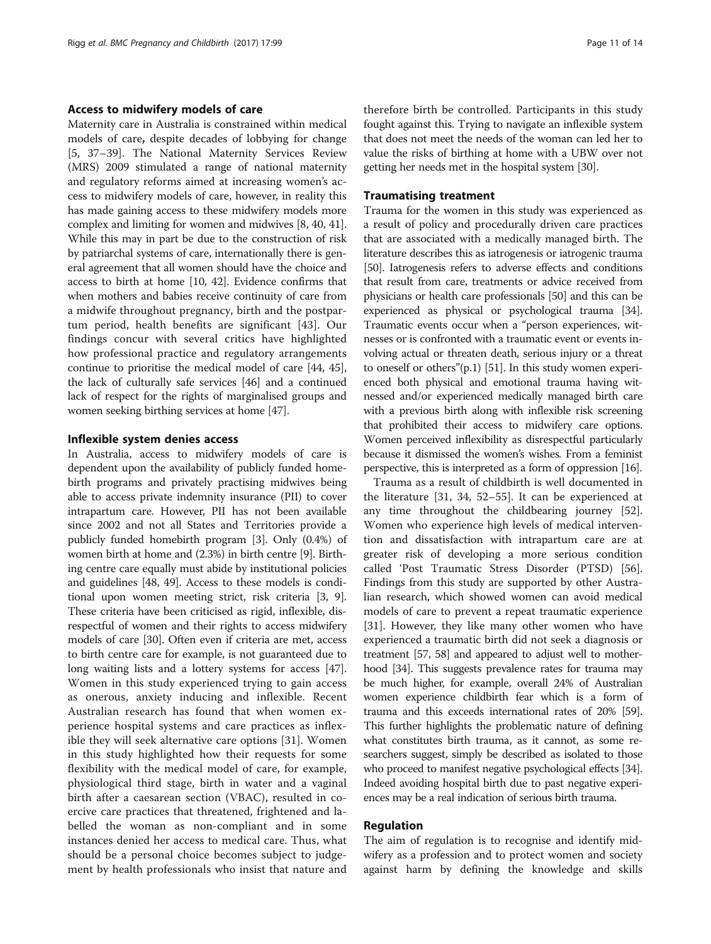# Access to midwifery models of care

Maternity care in Australia is constrained within medical models of care, despite decades of lobbying for change [[5,](#page-12-0) [37](#page-13-0)–[39](#page-13-0)]. The National Maternity Services Review (MRS) 2009 stimulated a range of national maternity and regulatory reforms aimed at increasing women's access to midwifery models of care, however, in reality this has made gaining access to these midwifery models more complex and limiting for women and midwives [[8](#page-12-0), [40, 41](#page-13-0)]. While this may in part be due to the construction of risk by patriarchal systems of care, internationally there is general agreement that all women should have the choice and access to birth at home [[10](#page-12-0), [42\]](#page-13-0). Evidence confirms that when mothers and babies receive continuity of care from a midwife throughout pregnancy, birth and the postpartum period, health benefits are significant [[43\]](#page-13-0). Our findings concur with several critics have highlighted how professional practice and regulatory arrangements continue to prioritise the medical model of care [\[44](#page-13-0), [45](#page-13-0)], the lack of culturally safe services [[46](#page-13-0)] and a continued lack of respect for the rights of marginalised groups and women seeking birthing services at home [[47](#page-13-0)].

#### Inflexible system denies access

In Australia, access to midwifery models of care is dependent upon the availability of publicly funded homebirth programs and privately practising midwives being able to access private indemnity insurance (PII) to cover intrapartum care. However, PII has not been available since 2002 and not all States and Territories provide a publicly funded homebirth program [\[3](#page-12-0)]. Only (0.4%) of women birth at home and (2.3%) in birth centre [\[9](#page-12-0)]. Birthing centre care equally must abide by institutional policies and guidelines [[48, 49\]](#page-13-0). Access to these models is conditional upon women meeting strict, risk criteria [\[3](#page-12-0), [9](#page-12-0)]. These criteria have been criticised as rigid, inflexible, disrespectful of women and their rights to access midwifery models of care [[30](#page-12-0)]. Often even if criteria are met, access to birth centre care for example, is not guaranteed due to long waiting lists and a lottery systems for access [[47](#page-13-0)]. Women in this study experienced trying to gain access as onerous, anxiety inducing and inflexible. Recent Australian research has found that when women experience hospital systems and care practices as inflexible they will seek alternative care options [[31\]](#page-13-0). Women in this study highlighted how their requests for some flexibility with the medical model of care, for example, physiological third stage, birth in water and a vaginal birth after a caesarean section (VBAC), resulted in coercive care practices that threatened, frightened and labelled the woman as non-compliant and in some instances denied her access to medical care. Thus, what should be a personal choice becomes subject to judgement by health professionals who insist that nature and

therefore birth be controlled. Participants in this study fought against this. Trying to navigate an inflexible system that does not meet the needs of the woman can led her to value the risks of birthing at home with a UBW over not getting her needs met in the hospital system [[30](#page-12-0)].

# Traumatising treatment

Trauma for the women in this study was experienced as a result of policy and procedurally driven care practices that are associated with a medically managed birth. The literature describes this as iatrogenesis or iatrogenic trauma [[50](#page-13-0)]. Iatrogenesis refers to adverse effects and conditions that result from care, treatments or advice received from physicians or health care professionals [\[50\]](#page-13-0) and this can be experienced as physical or psychological trauma [[34](#page-13-0)]. Traumatic events occur when a "person experiences, witnesses or is confronted with a traumatic event or events involving actual or threaten death, serious injury or a threat to oneself or others"(p.1) [\[51\]](#page-13-0). In this study women experienced both physical and emotional trauma having witnessed and/or experienced medically managed birth care with a previous birth along with inflexible risk screening that prohibited their access to midwifery care options. Women perceived inflexibility as disrespectful particularly because it dismissed the women's wishes. From a feminist perspective, this is interpreted as a form of oppression [[16](#page-12-0)].

Trauma as a result of childbirth is well documented in the literature [[31, 34, 52](#page-13-0)–[55\]](#page-13-0). It can be experienced at any time throughout the childbearing journey [\[52](#page-13-0)]. Women who experience high levels of medical intervention and dissatisfaction with intrapartum care are at greater risk of developing a more serious condition called 'Post Traumatic Stress Disorder (PTSD) [\[56](#page-13-0)]. Findings from this study are supported by other Australian research, which showed women can avoid medical models of care to prevent a repeat traumatic experience [[31\]](#page-13-0). However, they like many other women who have experienced a traumatic birth did not seek a diagnosis or treatment [[57, 58\]](#page-13-0) and appeared to adjust well to motherhood [[34](#page-13-0)]. This suggests prevalence rates for trauma may be much higher, for example, overall 24% of Australian women experience childbirth fear which is a form of trauma and this exceeds international rates of 20% [\[59](#page-13-0)]. This further highlights the problematic nature of defining what constitutes birth trauma, as it cannot, as some researchers suggest, simply be described as isolated to those who proceed to manifest negative psychological effects [\[34](#page-13-0)]. Indeed avoiding hospital birth due to past negative experiences may be a real indication of serious birth trauma.

# Regulation

The aim of regulation is to recognise and identify midwifery as a profession and to protect women and society against harm by defining the knowledge and skills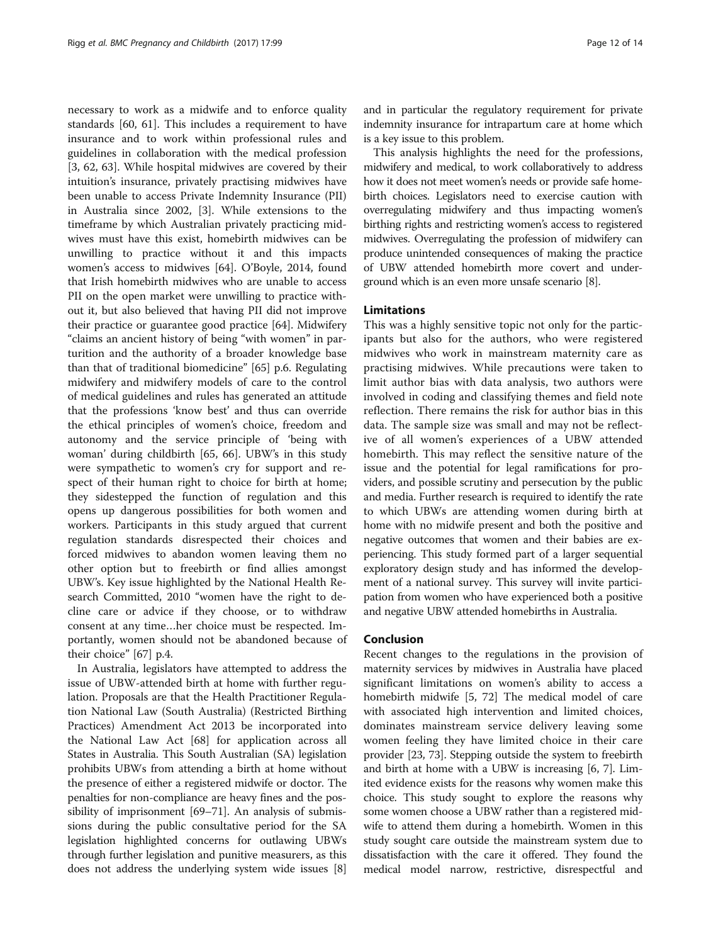necessary to work as a midwife and to enforce quality standards [[60, 61\]](#page-13-0). This includes a requirement to have insurance and to work within professional rules and guidelines in collaboration with the medical profession [[3,](#page-12-0) [62, 63](#page-13-0)]. While hospital midwives are covered by their intuition's insurance, privately practising midwives have been unable to access Private Indemnity Insurance (PII) in Australia since 2002, [\[3](#page-12-0)]. While extensions to the timeframe by which Australian privately practicing midwives must have this exist, homebirth midwives can be unwilling to practice without it and this impacts women's access to midwives [\[64\]](#page-13-0). O'Boyle, 2014, found that Irish homebirth midwives who are unable to access PII on the open market were unwilling to practice without it, but also believed that having PII did not improve their practice or guarantee good practice [[64\]](#page-13-0). Midwifery "claims an ancient history of being "with women" in parturition and the authority of a broader knowledge base than that of traditional biomedicine" [[65](#page-13-0)] p.6. Regulating midwifery and midwifery models of care to the control of medical guidelines and rules has generated an attitude that the professions 'know best' and thus can override the ethical principles of women's choice, freedom and autonomy and the service principle of 'being with woman' during childbirth [[65](#page-13-0), [66](#page-13-0)]. UBW's in this study were sympathetic to women's cry for support and respect of their human right to choice for birth at home; they sidestepped the function of regulation and this opens up dangerous possibilities for both women and workers. Participants in this study argued that current regulation standards disrespected their choices and forced midwives to abandon women leaving them no other option but to freebirth or find allies amongst UBW's. Key issue highlighted by the National Health Research Committed, 2010 "women have the right to decline care or advice if they choose, or to withdraw consent at any time…her choice must be respected. Importantly, women should not be abandoned because of their choice" [[67](#page-13-0)] p.4.

In Australia, legislators have attempted to address the issue of UBW-attended birth at home with further regulation. Proposals are that the Health Practitioner Regulation National Law (South Australia) (Restricted Birthing Practices) Amendment Act 2013 be incorporated into the National Law Act [[68\]](#page-13-0) for application across all States in Australia. This South Australian (SA) legislation prohibits UBWs from attending a birth at home without the presence of either a registered midwife or doctor. The penalties for non-compliance are heavy fines and the possibility of imprisonment [\[69](#page-13-0)–[71](#page-13-0)]. An analysis of submissions during the public consultative period for the SA legislation highlighted concerns for outlawing UBWs through further legislation and punitive measurers, as this does not address the underlying system wide issues [[8](#page-12-0)] and in particular the regulatory requirement for private indemnity insurance for intrapartum care at home which is a key issue to this problem.

This analysis highlights the need for the professions, midwifery and medical, to work collaboratively to address how it does not meet women's needs or provide safe homebirth choices. Legislators need to exercise caution with overregulating midwifery and thus impacting women's birthing rights and restricting women's access to registered midwives. Overregulating the profession of midwifery can produce unintended consequences of making the practice of UBW attended homebirth more covert and underground which is an even more unsafe scenario [[8](#page-12-0)].

# Limitations

This was a highly sensitive topic not only for the participants but also for the authors, who were registered midwives who work in mainstream maternity care as practising midwives. While precautions were taken to limit author bias with data analysis, two authors were involved in coding and classifying themes and field note reflection. There remains the risk for author bias in this data. The sample size was small and may not be reflective of all women's experiences of a UBW attended homebirth. This may reflect the sensitive nature of the issue and the potential for legal ramifications for providers, and possible scrutiny and persecution by the public and media. Further research is required to identify the rate to which UBWs are attending women during birth at home with no midwife present and both the positive and negative outcomes that women and their babies are experiencing. This study formed part of a larger sequential exploratory design study and has informed the development of a national survey. This survey will invite participation from women who have experienced both a positive and negative UBW attended homebirths in Australia.

# Conclusion

Recent changes to the regulations in the provision of maternity services by midwives in Australia have placed significant limitations on women's ability to access a homebirth midwife [[5,](#page-12-0) [72](#page-13-0)] The medical model of care with associated high intervention and limited choices, dominates mainstream service delivery leaving some women feeling they have limited choice in their care provider [\[23](#page-12-0), [73\]](#page-13-0). Stepping outside the system to freebirth and birth at home with a UBW is increasing [\[6, 7](#page-12-0)]. Limited evidence exists for the reasons why women make this choice. This study sought to explore the reasons why some women choose a UBW rather than a registered midwife to attend them during a homebirth. Women in this study sought care outside the mainstream system due to dissatisfaction with the care it offered. They found the medical model narrow, restrictive, disrespectful and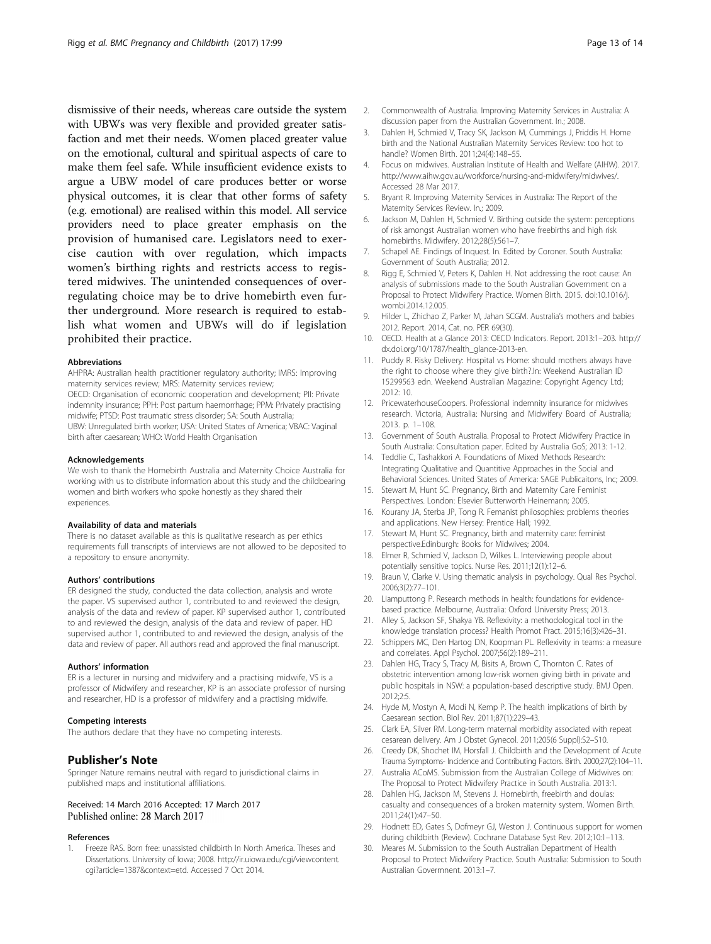<span id="page-12-0"></span>dismissive of their needs, whereas care outside the system with UBWs was very flexible and provided greater satisfaction and met their needs. Women placed greater value on the emotional, cultural and spiritual aspects of care to make them feel safe. While insufficient evidence exists to argue a UBW model of care produces better or worse physical outcomes, it is clear that other forms of safety (e.g. emotional) are realised within this model. All service providers need to place greater emphasis on the provision of humanised care. Legislators need to exercise caution with over regulation, which impacts women's birthing rights and restricts access to registered midwives. The unintended consequences of overregulating choice may be to drive homebirth even further underground. More research is required to establish what women and UBWs will do if legislation prohibited their practice.

#### Abbreviations

AHPRA: Australian health practitioner regulatory authority; IMRS: Improving maternity services review; MRS: Maternity services review;

OECD: Organisation of economic cooperation and development; PII: Private indemnity insurance; PPH: Post partum haemorrhage; PPM: Privately practising midwife; PTSD: Post traumatic stress disorder; SA: South Australia; UBW: Unregulated birth worker; USA: United States of America; VBAC: Vaginal birth after caesarean; WHO: World Health Organisation

#### Acknowledgements

We wish to thank the Homebirth Australia and Maternity Choice Australia for working with us to distribute information about this study and the childbearing women and birth workers who spoke honestly as they shared their experiences.

#### Availability of data and materials

There is no dataset available as this is qualitative research as per ethics requirements full transcripts of interviews are not allowed to be deposited to a repository to ensure anonymity.

#### Authors' contributions

ER designed the study, conducted the data collection, analysis and wrote the paper. VS supervised author 1, contributed to and reviewed the design, analysis of the data and review of paper. KP supervised author 1, contributed to and reviewed the design, analysis of the data and review of paper. HD supervised author 1, contributed to and reviewed the design, analysis of the data and review of paper. All authors read and approved the final manuscript.

#### Authors' information

ER is a lecturer in nursing and midwifery and a practising midwife, VS is a professor of Midwifery and researcher, KP is an associate professor of nursing and researcher, HD is a professor of midwifery and a practising midwife.

#### Competing interests

The authors declare that they have no competing interests.

#### Publisher's Note

Springer Nature remains neutral with regard to jurisdictional claims in published maps and institutional affiliations.

#### Received: 14 March 2016 Accepted: 17 March 2017 Published online: 28 March 2017

#### References

1. Freeze RAS. Born free: unassisted childbirth In North America. Theses and Dissertations. University of Iowa; 2008. [http://ir.uiowa.edu/cgi/viewcontent.](http://ir.uiowa.edu/cgi/viewcontent.cgi?article=1387&context=etd) [cgi?article=1387&context=etd.](http://ir.uiowa.edu/cgi/viewcontent.cgi?article=1387&context=etd) Accessed 7 Oct 2014.

- 2. Commonwealth of Australia. Improving Maternity Services in Australia: A discussion paper from the Australian Government. In.; 2008.
- 3. Dahlen H, Schmied V, Tracy SK, Jackson M, Cummings J, Priddis H. Home birth and the National Australian Maternity Services Review: too hot to handle? Women Birth. 2011;24(4):148–55.
- 4. Focus on midwives. Australian Institute of Health and Welfare (AIHW). 2017. <http://www.aihw.gov.au/workforce/nursing-and-midwifery/midwives/>. Accessed 28 Mar 2017.
- 5. Bryant R. Improving Maternity Services in Australia: The Report of the Maternity Services Review. In.; 2009.
- 6. Jackson M, Dahlen H, Schmied V. Birthing outside the system: perceptions of risk amongst Australian women who have freebirths and high risk homebirths. Midwifery. 2012;28(5):561–7.
- 7. Schapel AE. Findings of Inquest. In. Edited by Coroner. South Australia: Government of South Australia; 2012.
- Rigg E, Schmied V, Peters K, Dahlen H. Not addressing the root cause: An analysis of submissions made to the South Australian Government on a Proposal to Protect Midwifery Practice. Women Birth. 2015. doi[:10.1016/j.](http://dx.doi.org/10.1016/j.wombi.2014.12.005) [wombi.2014.12.005](http://dx.doi.org/10.1016/j.wombi.2014.12.005).
- 9. Hilder L, Zhichao Z, Parker M, Jahan SCGM. Australia's mothers and babies 2012. Report. 2014, Cat. no. PER 69(30).
- 10. OECD. Health at a Glance 2013: OECD Indicators. Report. 2013:1–203. [http://](http://dx.doi.org/10/1787/health_glance-2013-en) [dx.doi.org/10/1787/health\\_glance-2013-en.](http://dx.doi.org/10/1787/health_glance-2013-en)
- 11. Puddy R. Risky Delivery: Hospital vs Home: should mothers always have the right to choose where they give birth?.In: Weekend Australian ID 15299563 edn. Weekend Australian Magazine: Copyright Agency Ltd; 2012: 10.
- 12. PricewaterhouseCoopers. Professional indemnity insurance for midwives research. Victoria, Australia: Nursing and Midwifery Board of Australia; 2013. p. 1–108.
- 13. Government of South Australia. Proposal to Protect Midwifery Practice in South Australia: Consultation paper. Edited by Australia GoS; 2013: 1-12.
- 14. Teddlie C, Tashakkori A. Foundations of Mixed Methods Research: Integrating Qualitative and Quantitive Approaches in the Social and Behavioral Sciences. United States of America: SAGE Publicaitons, Inc; 2009.
- 15. Stewart M, Hunt SC. Pregnancy, Birth and Maternity Care Feminist Perspectives. London: Elsevier Butterworth Heinemann; 2005.
- 16. Kourany JA, Sterba JP, Tong R. Femanist philosophies: problems theories and applications. New Hersey: Prentice Hall; 1992.
- 17. Stewart M, Hunt SC. Pregnancy, birth and maternity care: feminist perspective.Edinburgh: Books for Midwives; 2004.
- 18. Elmer R, Schmied V, Jackson D, Wilkes L. Interviewing people about potentially sensitive topics. Nurse Res. 2011;12(1):12–6.
- 19. Braun V, Clarke V. Using thematic analysis in psychology. Qual Res Psychol. 2006;3(2):77–101.
- 20. Liamputtong P. Research methods in health: foundations for evidencebased practice. Melbourne, Australia: Oxford University Press; 2013.
- 21. Alley S, Jackson SF, Shakya YB. Reflexivity: a methodological tool in the knowledge translation process? Health Promot Pract. 2015;16(3):426–31.
- 22. Schippers MC, Den Hartog DN, Koopman PL. Reflexivity in teams: a measure and correlates. Appl Psychol. 2007;56(2):189–211.
- 23. Dahlen HG, Tracy S, Tracy M, Bisits A, Brown C, Thornton C. Rates of obstetric intervention among low-risk women giving birth in private and public hospitals in NSW: a population-based descriptive study. BMJ Open. 2012;2:5.
- 24. Hyde M, Mostyn A, Modi N, Kemp P. The health implications of birth by Caesarean section. Biol Rev. 2011;87(1):229–43.
- 25. Clark EA, Silver RM. Long-term maternal morbidity associated with repeat cesarean delivery. Am J Obstet Gynecol. 2011;205(6 Suppl):S2–S10.
- 26. Creedy DK, Shochet IM, Horsfall J. Childbirth and the Development of Acute Trauma Symptoms- Incidence and Contributing Factors. Birth. 2000;27(2):104–11.
- 27. Australia ACoMS. Submission from the Australian College of Midwives on: The Proposal to Protect Midwifery Practice in South Australia. 2013:1.
- 28. Dahlen HG, Jackson M, Stevens J. Homebirth, freebirth and doulas: casualty and consequences of a broken maternity system. Women Birth. 2011;24(1):47–50.
- 29. Hodnett ED, Gates S, Dofmeyr GJ, Weston J. Continuous support for women during childbirth (Review). Cochrane Database Syst Rev. 2012;10:1–113.
- 30. Meares M. Submission to the South Australian Department of Health Proposal to Protect Midwifery Practice. South Australia: Submission to South Australian Govermnent. 2013:1–7.